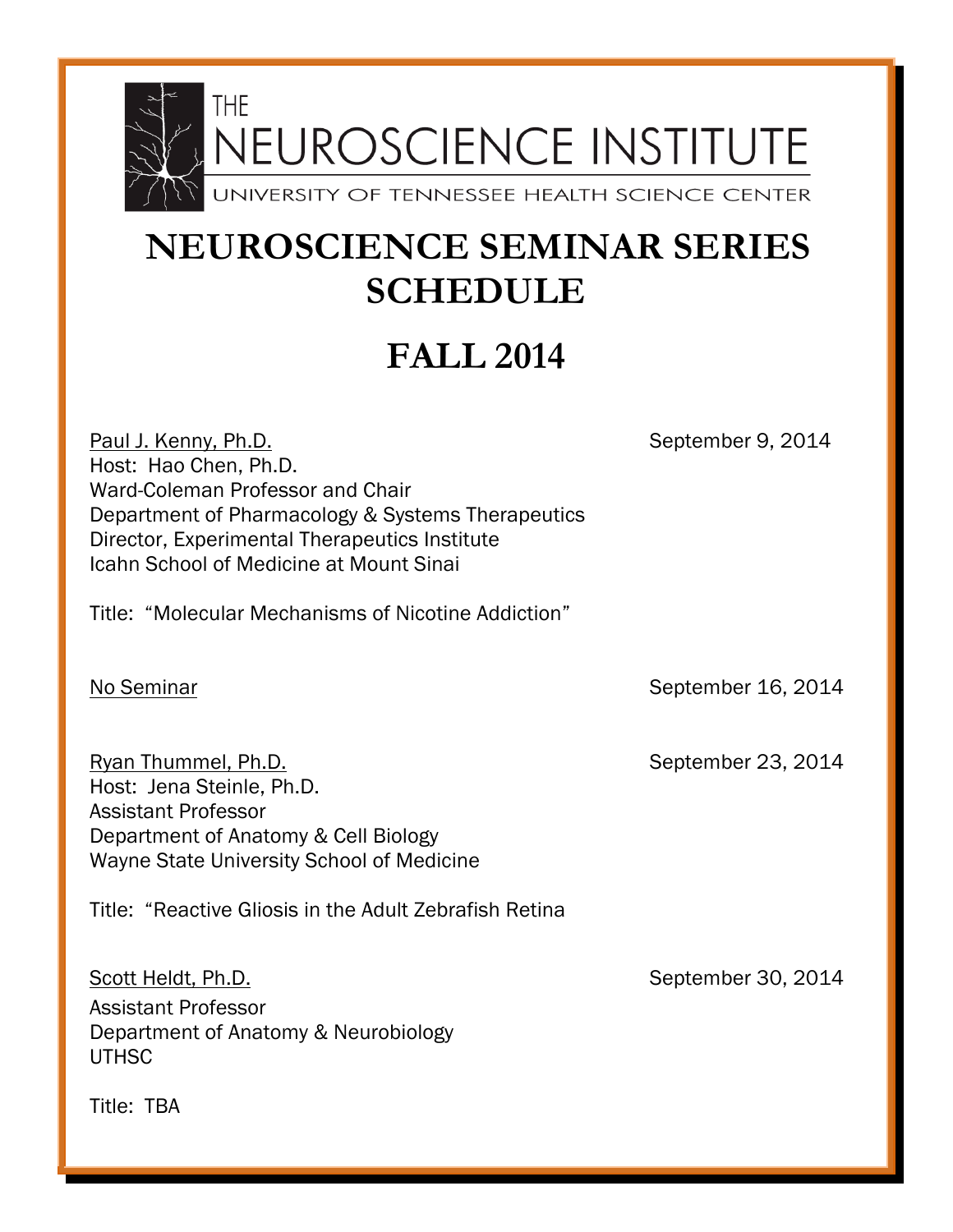

## **NEUROSCIENCE SEMINAR SERIES SCHEDULE**

## **FALL 2014**

Paul J. Kenny, Ph.D. September 9, 2014 Host: Hao Chen, Ph.D. Ward-Coleman Professor and Chair Department of Pharmacology & Systems Therapeutics Director, Experimental Therapeutics Institute Icahn School of Medicine at Mount Sinai Title: "Molecular Mechanisms of Nicotine Addiction" No Seminar No September 16, 2014 Ryan Thummel, Ph.D. September 23, 2014 Host: Jena Steinle, Ph.D. Assistant Professor Department of Anatomy & Cell Biology Wayne State University School of Medicine Title: "Reactive Gliosis in the Adult Zebrafish Retina Scott Heldt, Ph.D. September 30, 2014 Assistant Professor Department of Anatomy & Neurobiology UTHSC

Title: TBA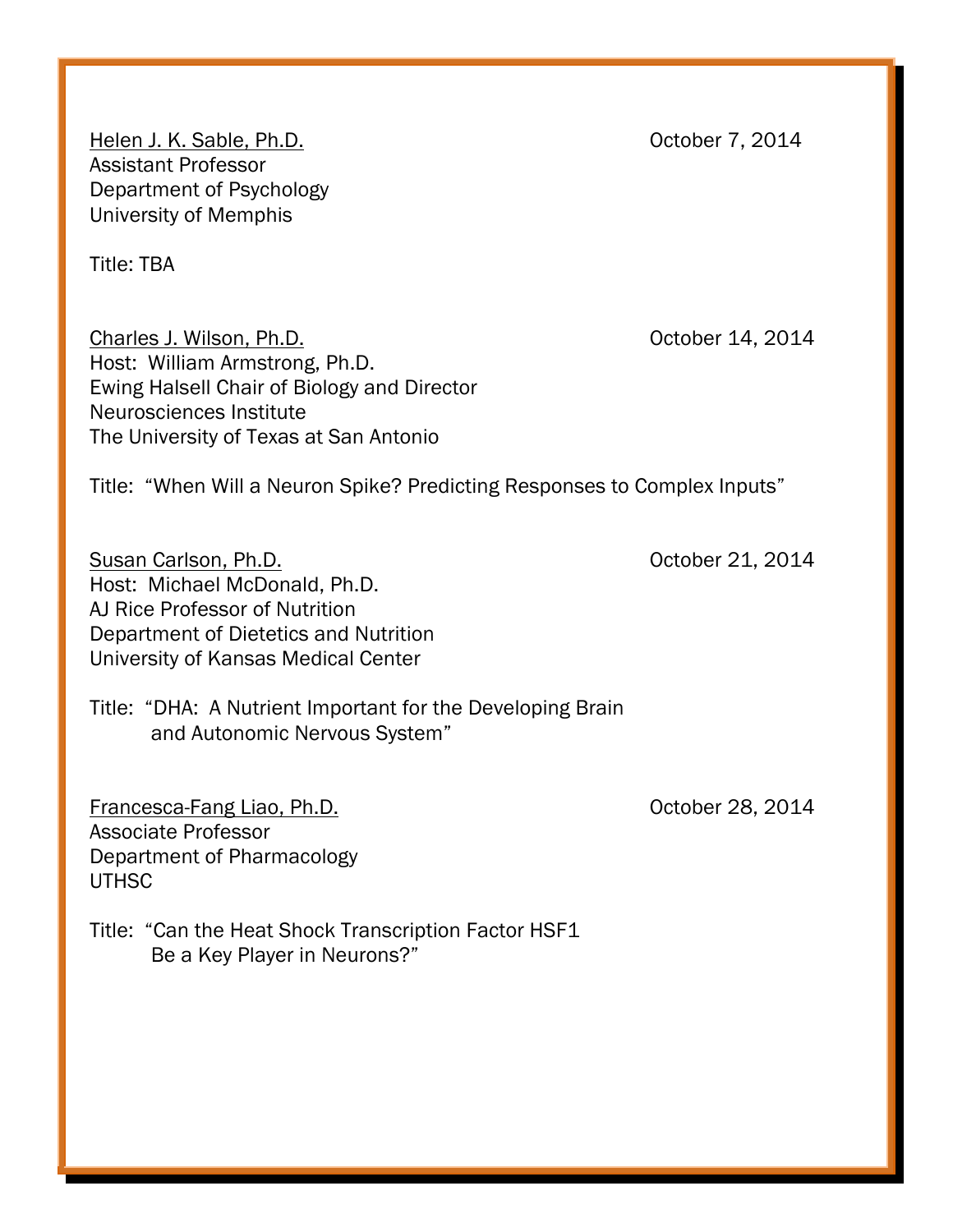Helen J. K. Sable, Ph.D. Channel Communication of the Coroller 7, 2014 Assistant Professor Department of Psychology University of Memphis

Title: TBA

Charles J. Wilson, Ph.D. Charles J. Wilson, Ph.D. Host: William Armstrong, Ph.D. Ewing Halsell Chair of Biology and Director Neurosciences Institute The University of Texas at San Antonio

Title: "When Will a Neuron Spike? Predicting Responses to Complex Inputs"

Susan Carlson, Ph.D. Contract Contract Contract Contract Contract Contract Contract Contract Contract Contract Contract Contract Contract Contract Contract Contract Contract Contract Contract Contract Contract Contract Con Host: Michael McDonald, Ph.D. AJ Rice Professor of Nutrition Department of Dietetics and Nutrition University of Kansas Medical Center

Title: "DHA: A Nutrient Important for the Developing Brain and Autonomic Nervous System"

Francesca-Fang Liao, Ph.D. Contract Contract Contract Contract Contract Contract Contract Contract Contract Contract Contract Contract Contract Contract Contract Contract Contract Contract Contract Contract Contract Contra Associate Professor Department of Pharmacology UTHSC

Title: "Can the Heat Shock Transcription Factor HSF1 Be a Key Player in Neurons?"